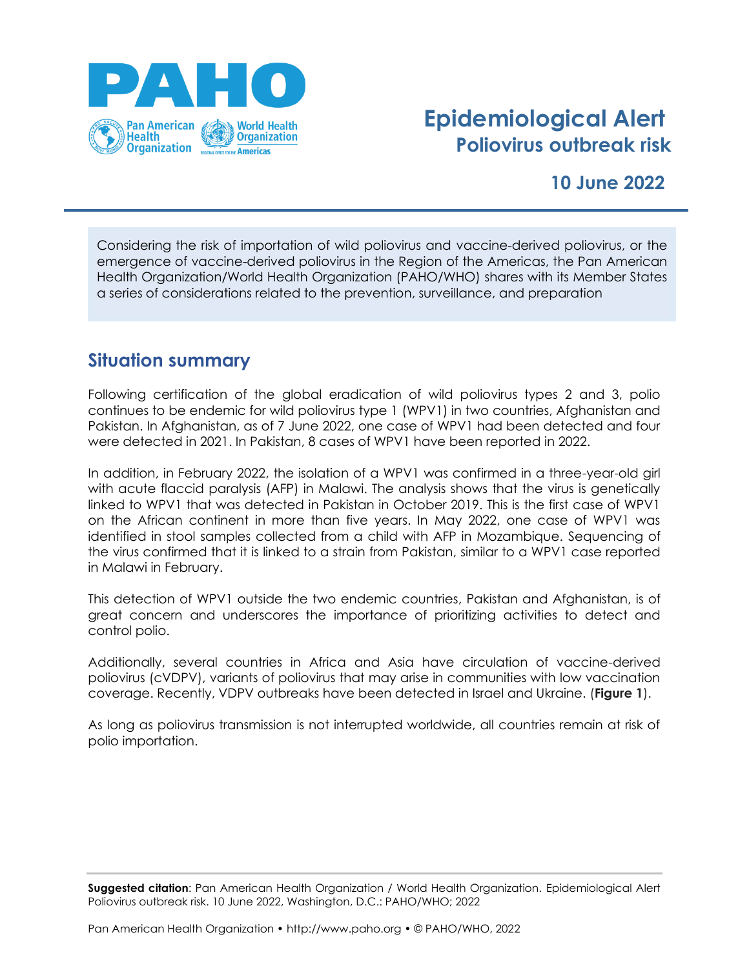

# **Epidemiological Alert Poliovirus outbreak risk**

## **10 June 2022**

Considering the risk of importation of wild poliovirus and vaccine-derived poliovirus, or the emergence of vaccine-derived poliovirus in the Region of the Americas, the Pan American Health Organization/World Health Organization (PAHO/WHO) shares with its Member States a series of considerations related to the prevention, surveillance, and preparation

### **Situation summary**

Following certification of the global eradication of wild poliovirus types 2 and 3, polio continues to be endemic for wild poliovirus type 1 (WPV1) in two countries, Afghanistan and Pakistan. In Afghanistan, as of 7 June 2022, one case of WPV1 had been detected and four were detected in 2021. In Pakistan, 8 cases of WPV1 have been reported in 2022.

In addition, in February 2022, the isolation of a WPV1 was confirmed in a three-year-old girl with acute flaccid paralysis (AFP) in Malawi. The analysis shows that the virus is genetically linked to WPV1 that was detected in Pakistan in October 2019. This is the first case of WPV1 on the African continent in more than five years. In May 2022, one case of WPV1 was identified in stool samples collected from a child with AFP in Mozambique. Sequencing of the virus confirmed that it is linked to a strain from Pakistan, similar to a WPV1 case reported in Malawi in February.

This detection of WPV1 outside the two endemic countries, Pakistan and Afghanistan, is of great concern and underscores the importance of prioritizing activities to detect and control polio.

Additionally, several countries in Africa and Asia have circulation of vaccine-derived poliovirus (cVDPV), variants of poliovirus that may arise in communities with low vaccination coverage. Recently, VDPV outbreaks have been detected in Israel and Ukraine. (**Figure 1**).

As long as poliovirus transmission is not interrupted worldwide, all countries remain at risk of polio importation.

**Suggested citation**: Pan American Health Organization / World Health Organization. Epidemiological Alert Poliovirus outbreak risk. 10 June 2022, Washington, D.C.: PAHO/WHO; 2022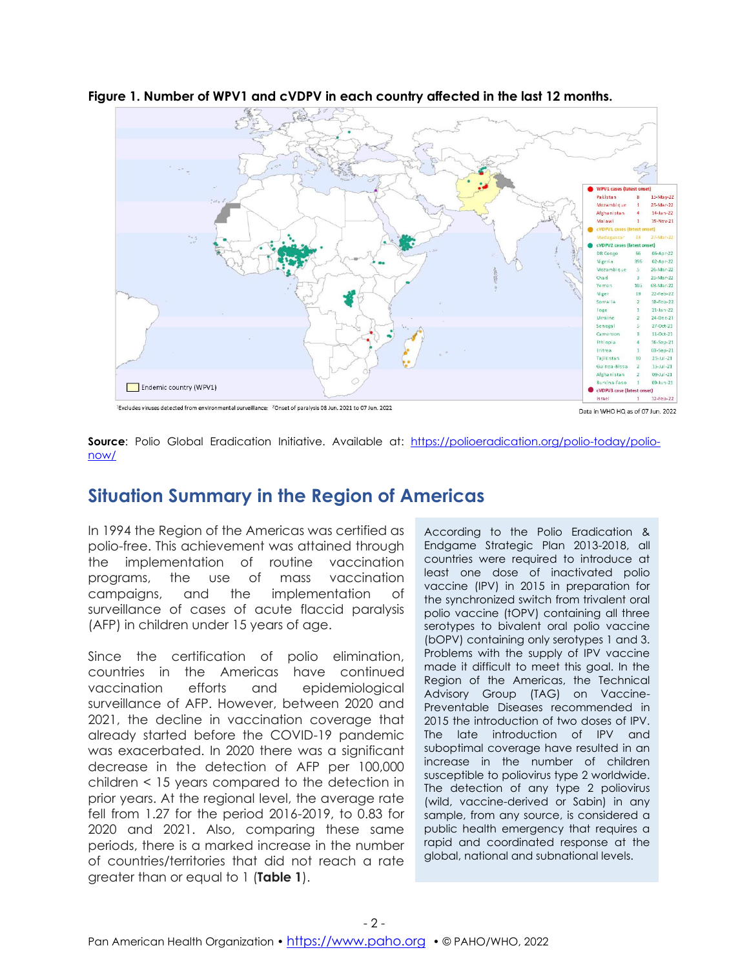

**Figure 1. Number of WPV1 and cVDPV in each country affected in the last 12 months.**

<sup>1</sup>Excludes viruses detected from environmental surveillance; <sup>2</sup>Onset of paralysis 08 Jun. 2021 to 07 Jun. 2022

**Source**: Polio Global Eradication Initiative. Available at: [https://polioeradication.org/polio-today/polio](https://polioeradication.org/polio-today/polio-now/)[now/](https://polioeradication.org/polio-today/polio-now/)

## **Situation Summary in the Region of Americas**

In 1994 the Region of the Americas was certified as polio-free. This achievement was attained through the implementation of routine vaccination programs, the use of mass vaccination campaigns, and the implementation of surveillance of cases of acute flaccid paralysis (AFP) in children under 15 years of age.

Since the certification of polio elimination, countries in the Americas have continued vaccination efforts and epidemiological surveillance of AFP. However, between 2020 and 2021, the decline in vaccination coverage that already started before the COVID-19 pandemic was exacerbated. In 2020 there was a significant decrease in the detection of AFP per 100,000 children < 15 years compared to the detection in prior years. At the regional level, the average rate fell from 1.27 for the period 2016-2019, to 0.83 for 2020 and 2021. Also, comparing these same periods, there is a marked increase in the number of countries/territories that did not reach a rate greater than or equal to 1 (**Table 1**).

According to the Polio Eradication & Endgame Strategic Plan 2013-2018, all countries were required to introduce at least one dose of inactivated polio vaccine (IPV) in 2015 in preparation for the synchronized switch from trivalent oral polio vaccine (tOPV) containing all three serotypes to bivalent oral polio vaccine (bOPV) containing only serotypes 1 and 3. Problems with the supply of IPV vaccine made it difficult to meet this goal. In the Region of the Americas, the Technical Advisory Group (TAG) on Vaccine-Preventable Diseases recommended in 2015 the introduction of two doses of IPV. The late introduction of IPV and suboptimal coverage have resulted in an increase in the number of children susceptible to poliovirus type 2 worldwide. The detection of any type 2 poliovirus (wild, vaccine-derived or Sabin) in any sample, from any source, is considered a public health emergency that requires a rapid and coordinated response at the global, national and subnational levels.

Data in WHO HQ as of 07 Jun. 2022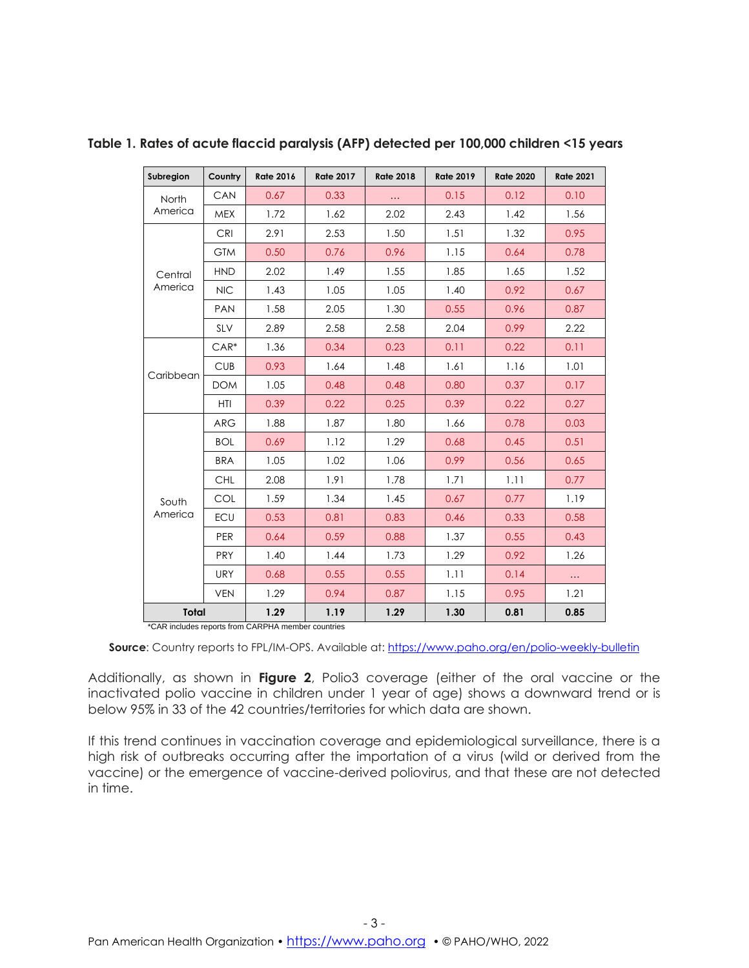| Subregion          | Country    | <b>Rate 2016</b> | <b>Rate 2017</b> | <b>Rate 2018</b> | <b>Rate 2019</b> | <b>Rate 2020</b> | <b>Rate 2021</b> |
|--------------------|------------|------------------|------------------|------------------|------------------|------------------|------------------|
| North<br>America   | CAN        | 0.67             | 0.33             | $\cdots$         | 0.15             | 0.12             | 0.10             |
|                    | <b>MEX</b> | 1.72             | 1.62             | 2.02             | 2.43             | 1.42             | 1.56             |
| Central<br>America | <b>CRI</b> | 2.91             | 2.53             | 1.50             | 1.51             | 1.32             | 0.95             |
|                    | <b>GTM</b> | 0.50             | 0.76             | 0.96             | 1.15             | 0.64             | 0.78             |
|                    | <b>HND</b> | 2.02             | 1.49             | 1.55             | 1.85             | 1.65             | 1.52             |
|                    | <b>NIC</b> | 1.43             | 1.05             | 1.05             | 1.40             | 0.92             | 0.67             |
|                    | PAN        | 1.58             | 2.05             | 1.30             | 0.55             | 0.96             | 0.87             |
|                    | <b>SLV</b> | 2.89             | 2.58             | 2.58             | 2.04             | 0.99             | 2.22             |
| Caribbean          | $CAR*$     | 1.36             | 0.34             | 0.23             | 0.11             | 0.22             | 0.11             |
|                    | <b>CUB</b> | 0.93             | 1.64             | 1.48             | 1.61             | 1.16             | 1.01             |
|                    | <b>DOM</b> | 1.05             | 0.48             | 0.48             | 0.80             | 0.37             | 0.17             |
|                    | <b>HTI</b> | 0.39             | 0.22             | 0.25             | 0.39             | 0.22             | 0.27             |
| South<br>America   | <b>ARG</b> | 1.88             | 1.87             | 1.80             | 1.66             | 0.78             | 0.03             |
|                    | <b>BOL</b> | 0.69             | 1.12             | 1.29             | 0.68             | 0.45             | 0.51             |
|                    | <b>BRA</b> | 1.05             | 1.02             | 1.06             | 0.99             | 0.56             | 0.65             |
|                    | <b>CHL</b> | 2.08             | 1.91             | 1.78             | 1.71             | 1.11             | 0.77             |
|                    | COL        | 1.59             | 1.34             | 1.45             | 0.67             | 0.77             | 1.19             |
|                    | ECU        | 0.53             | 0.81             | 0.83             | 0.46             | 0.33             | 0.58             |
|                    | <b>PER</b> | 0.64             | 0.59             | 0.88             | 1.37             | 0.55             | 0.43             |
|                    | <b>PRY</b> | 1.40             | 1.44             | 1.73             | 1.29             | 0.92             | 1.26             |
|                    | <b>URY</b> | 0.68             | 0.55             | 0.55             | 1.11             | 0.14             | $\ldots$         |
|                    | <b>VEN</b> | 1.29             | 0.94             | 0.87             | 1.15             | 0.95             | 1.21             |
| <b>Total</b>       |            | 1.29<br>0.0011   | 1.19             | 1.29             | 1.30             | 0.81             | 0.85             |

**Table 1. Rates of acute flaccid paralysis (AFP) detected per 100,000 children <15 years**

\*CAR includes reports from CARPHA member countries

Source: Country reports to FPL/IM-OPS. Available at: [https://www.paho.org/en/polio-weekly-bulletin](https://www.paho.org/es/boletin-semanal-polio)

Additionally, as shown in **Figure 2**, Polio3 coverage (either of the oral vaccine or the inactivated polio vaccine in children under 1 year of age) shows a downward trend or is below 95% in 33 of the 42 countries/territories for which data are shown.

If this trend continues in vaccination coverage and epidemiological surveillance, there is a high risk of outbreaks occurring after the importation of a virus (wild or derived from the vaccine) or the emergence of vaccine-derived poliovirus, and that these are not detected in time.

- 3 -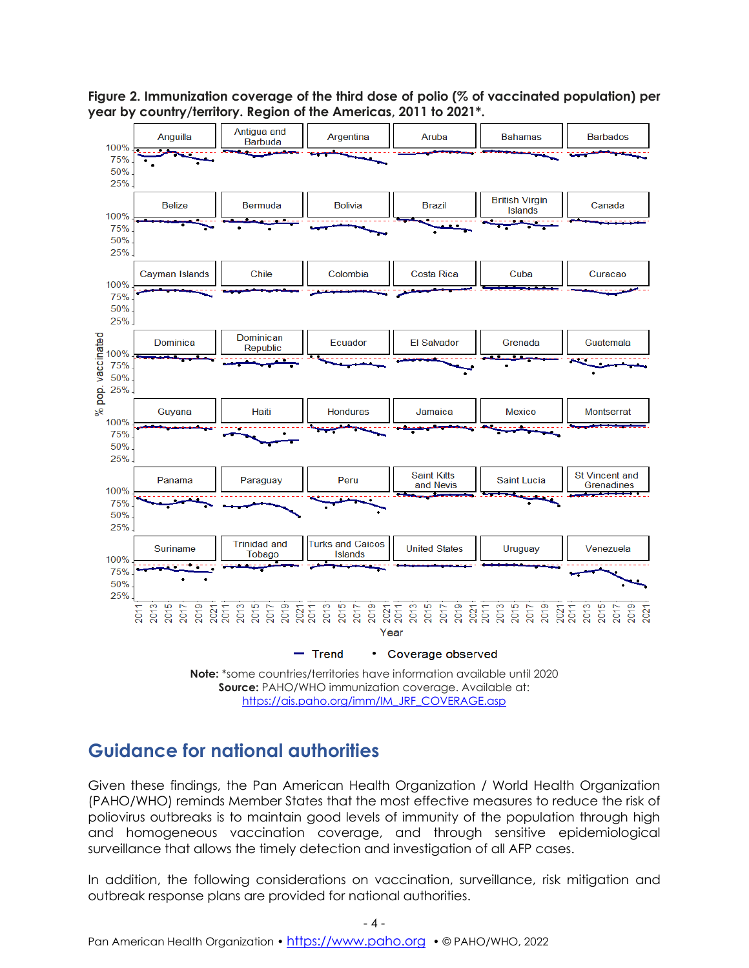

**Figure 2. Immunization coverage of the third dose of polio (% of vaccinated population) per year by country/territory. Region of the Americas, 2011 to 2021\*.**

### **Guidance for national authorities**

Given these findings, the Pan American Health Organization / World Health Organization (PAHO/WHO) reminds Member States that the most effective measures to reduce the risk of poliovirus outbreaks is to maintain good levels of immunity of the population through high and homogeneous vaccination coverage, and through sensitive epidemiological surveillance that allows the timely detection and investigation of all AFP cases.

[https://ais.paho.org/imm/IM\\_JRF\\_COVERAGE.asp](https://ais.paho.org/imm/IM_JRF_COVERAGE.asp)

In addition, the following considerations on vaccination, surveillance, risk mitigation and outbreak response plans are provided for national authorities.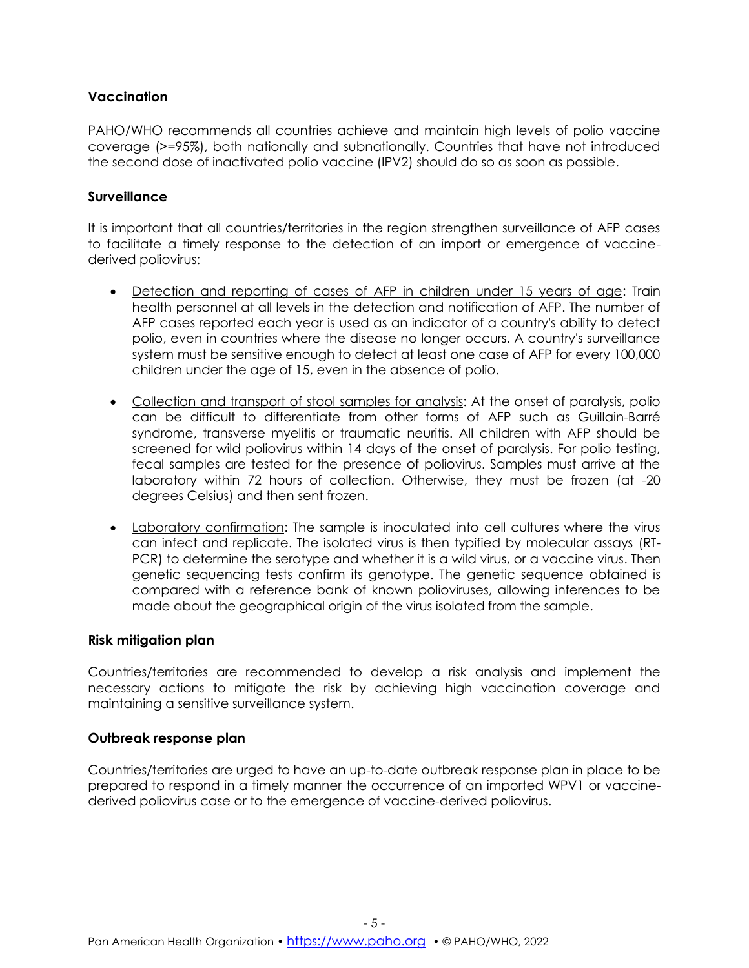#### **Vaccination**

PAHO/WHO recommends all countries achieve and maintain high levels of polio vaccine coverage (>=95%), both nationally and subnationally. Countries that have not introduced the second dose of inactivated polio vaccine (IPV2) should do so as soon as possible.

#### **Surveillance**

It is important that all countries/territories in the region strengthen surveillance of AFP cases to facilitate a timely response to the detection of an import or emergence of vaccinederived poliovirus:

- Detection and reporting of cases of AFP in children under 15 years of age: Train health personnel at all levels in the detection and notification of AFP. The number of AFP cases reported each year is used as an indicator of a country's ability to detect polio, even in countries where the disease no longer occurs. A country's surveillance system must be sensitive enough to detect at least one case of AFP for every 100,000 children under the age of 15, even in the absence of polio.
- Collection and transport of stool samples for analysis: At the onset of paralysis, polio can be difficult to differentiate from other forms of AFP such as Guillain-Barré syndrome, transverse myelitis or traumatic neuritis. All children with AFP should be screened for wild poliovirus within 14 days of the onset of paralysis. For polio testing, fecal samples are tested for the presence of poliovirus. Samples must arrive at the laboratory within 72 hours of collection. Otherwise, they must be frozen (at -20 degrees Celsius) and then sent frozen.
- Laboratory confirmation: The sample is inoculated into cell cultures where the virus can infect and replicate. The isolated virus is then typified by molecular assays (RT-PCR) to determine the serotype and whether it is a wild virus, or a vaccine virus. Then genetic sequencing tests confirm its genotype. The genetic sequence obtained is compared with a reference bank of known polioviruses, allowing inferences to be made about the geographical origin of the virus isolated from the sample.

#### **Risk mitigation plan**

Countries/territories are recommended to develop a risk analysis and implement the necessary actions to mitigate the risk by achieving high vaccination coverage and maintaining a sensitive surveillance system.

#### **Outbreak response plan**

Countries/territories are urged to have an up-to-date outbreak response plan in place to be prepared to respond in a timely manner the occurrence of an imported WPV1 or vaccinederived poliovirus case or to the emergence of vaccine-derived poliovirus.

- 5 -